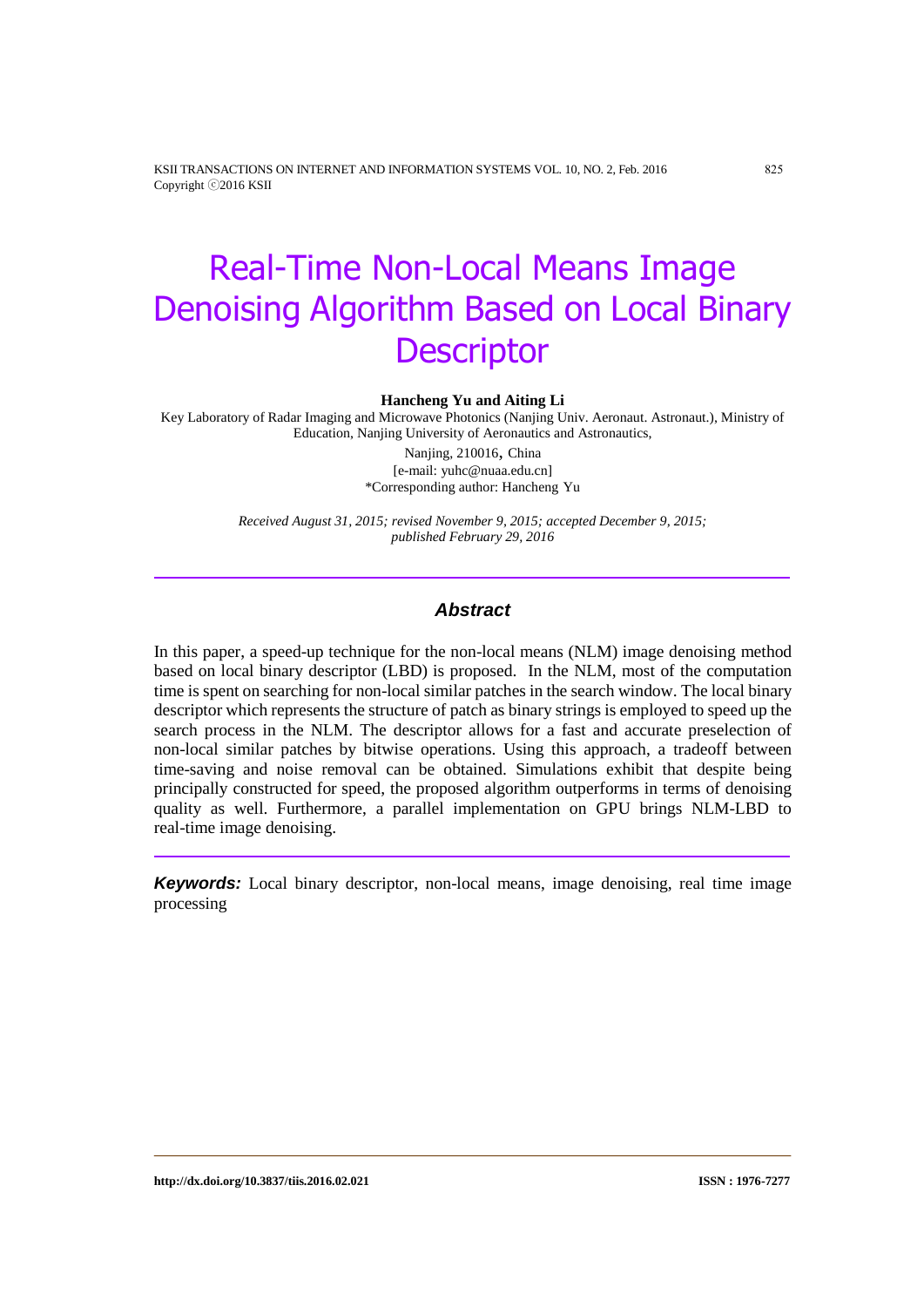KSII TRANSACTIONS ON INTERNET AND INFORMATION SYSTEMS VOL. 10, NO. 2, Feb. 2016 825 Copyright ⓒ2016 KSII

# Real-Time Non-Local Means Image Denoising Algorithm Based on Local Binary **Descriptor**

#### **Hancheng Yu and Aiting Li**

Key Laboratory of Radar Imaging and Microwave Photonics (Nanjing Univ. Aeronaut. Astronaut.), Ministry of Education, Nanjing University of Aeronautics and Astronautics,

> Nanjing, 210016, China [e-mail: yuhc@nuaa.edu.cn] \*Corresponding author: Hancheng Yu

*Received August 31, 2015; revised November 9, 2015; accepted December 9, 2015; published February 29, 2016*

#### *Abstract*

In this paper, a speed-up technique for the non-local means (NLM) image denoising method based on local binary descriptor (LBD) is proposed. In the NLM, most of the computation time is spent on searching for non-local similar patches in the search window. The local binary descriptor which represents the structure of patch as binary strings is employed to speed up the search process in the NLM. The descriptor allows for a fast and accurate preselection of non-local similar patches by bitwise operations. Using this approach, a tradeoff between time-saving and noise removal can be obtained. Simulations exhibit that despite being principally constructed for speed, the proposed algorithm outperforms in terms of denoising quality as well. Furthermore, a parallel implementation on GPU brings NLM-LBD to real-time image denoising.

*Keywords:* Local binary descriptor, non-local means, image denoising, real time image processing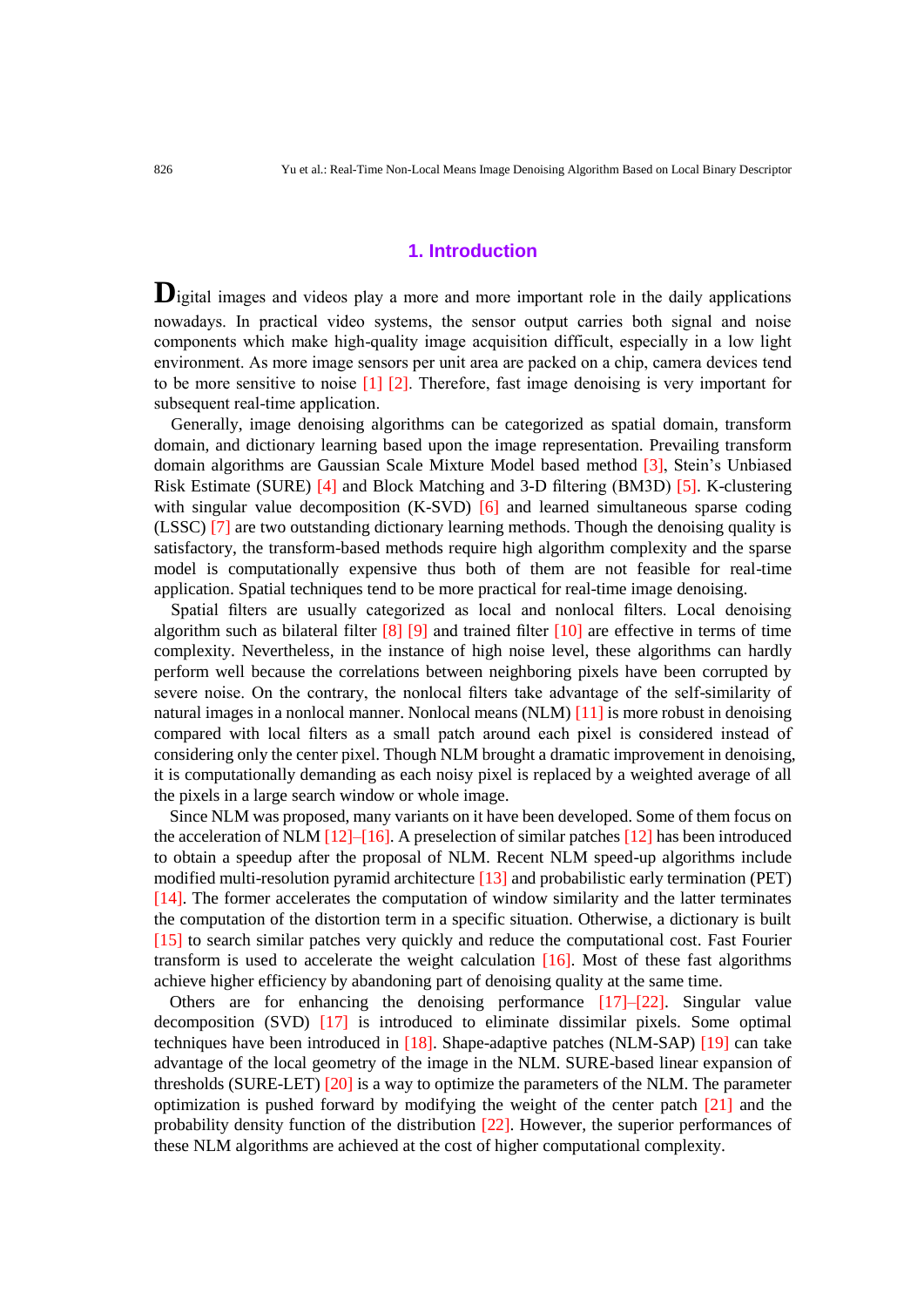#### **1. Introduction**

**D**igital images and videos play a more and more important role in the daily applications nowadays. In practical video systems, the sensor output carries both signal and noise components which make high-quality image acquisition difficult, especially in a low light environment. As more image sensors per unit area are packed on a chip, camera devices tend to be more sensitive to noise [1] [2]. Therefore, fast image denoising is very important for subsequent real-time application.

Generally, image denoising algorithms can be categorized as spatial domain, transform domain, and dictionary learning based upon the image representation. Prevailing transform domain algorithms are Gaussian Scale Mixture Model based method [3], Stein's Unbiased Risk Estimate (SURE) [4] and Block Matching and 3-D filtering (BM3D) [5]. K-clustering with singular value decomposition (K-SVD) [6] and learned simultaneous sparse coding (LSSC) [7] are two outstanding dictionary learning methods. Though the denoising quality is satisfactory, the transform-based methods require high algorithm complexity and the sparse model is computationally expensive thus both of them are not feasible for real-time application. Spatial techniques tend to be more practical for real-time image denoising.

Spatial filters are usually categorized as local and nonlocal filters. Local denoising algorithm such as bilateral filter  $[8]$   $[9]$  and trained filter  $[10]$  are effective in terms of time complexity. Nevertheless, in the instance of high noise level, these algorithms can hardly perform well because the correlations between neighboring pixels have been corrupted by severe noise. On the contrary, the nonlocal filters take advantage of the self-similarity of natural images in a nonlocal manner. Nonlocal means (NLM) [11] is more robust in denoising compared with local filters as a small patch around each pixel is considered instead of considering only the center pixel. Though NLM brought a dramatic improvement in denoising, it is computationally demanding as each noisy pixel is replaced by a weighted average of all the pixels in a large search window or whole image.

Since NLM was proposed, many variants on it have been developed. Some of them focus on the acceleration of NLM  $[12]$ –[16]. A preselection of similar patches [12] has been introduced to obtain a speedup after the proposal of NLM. Recent NLM speed-up algorithms include modified multi-resolution pyramid architecture [13] and probabilistic early termination (PET) [14]. The former accelerates the computation of window similarity and the latter terminates the computation of the distortion term in a specific situation. Otherwise, a dictionary is built [15] to search similar patches very quickly and reduce the computational cost. Fast Fourier transform is used to accelerate the weight calculation [16]. Most of these fast algorithms achieve higher efficiency by abandoning part of denoising quality at the same time.

Others are for enhancing the denoising performance [17]–[22]. Singular value decomposition (SVD) [17] is introduced to eliminate dissimilar pixels. Some optimal techniques have been introduced in [18]. Shape-adaptive patches (NLM-SAP) [19] can take advantage of the local geometry of the image in the NLM. SURE-based linear expansion of thresholds (SURE-LET) [20] is a way to optimize the parameters of the NLM. The parameter optimization is pushed forward by modifying the weight of the center patch [21] and the probability density function of the distribution [22]. However, the superior performances of these NLM algorithms are achieved at the cost of higher computational complexity.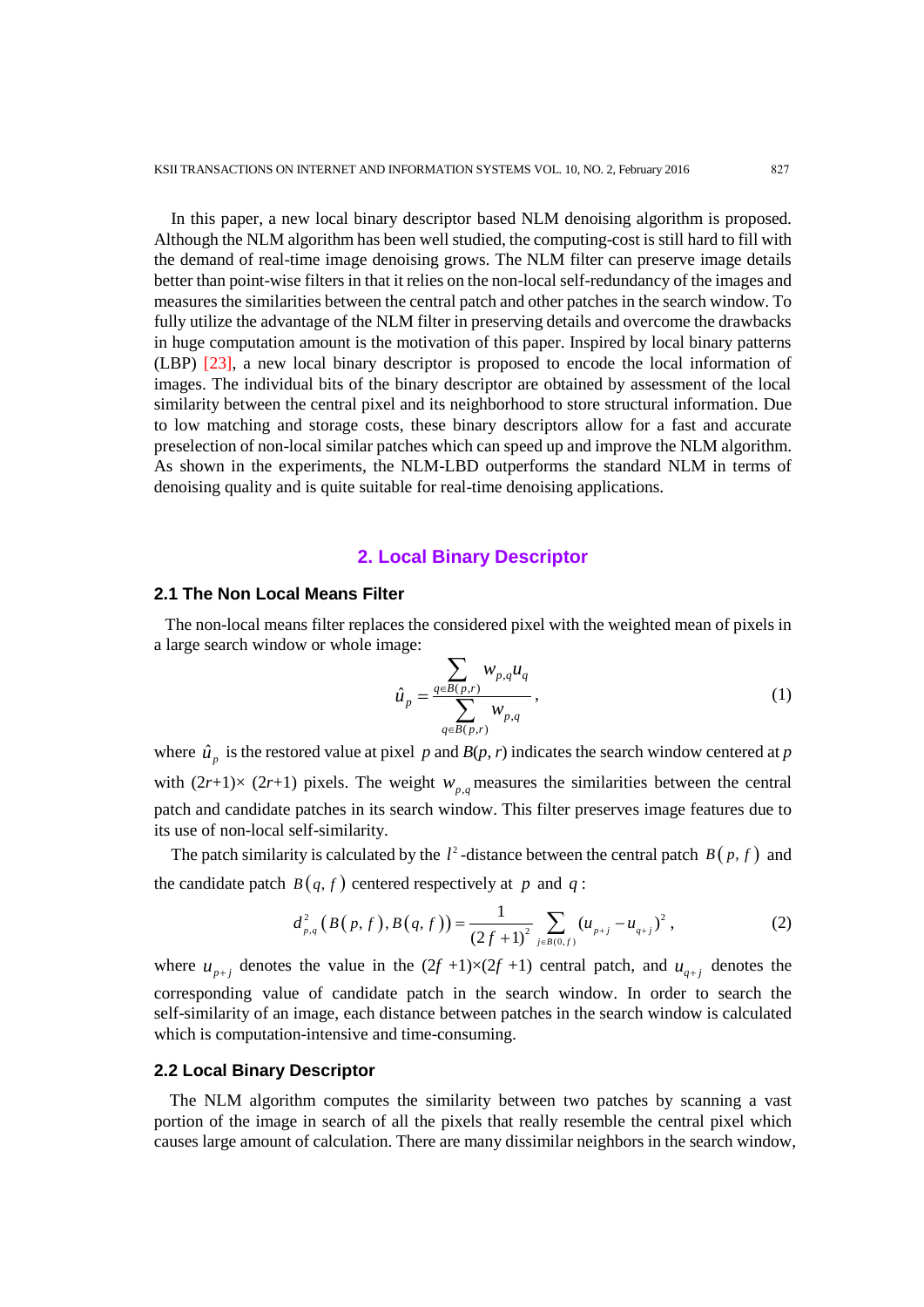In this paper, a new local binary descriptor based NLM denoising algorithm is proposed. Although the NLM algorithm has been well studied, the computing-cost is still hard to fill with the demand of real-time image denoising grows. The NLM filter can preserve image details better than point-wise filters in that it relies on the non-local self-redundancy of the images and measures the similarities between the central patch and other patches in the search window. To fully utilize the advantage of the NLM filter in preserving details and overcome the drawbacks in huge computation amount is the motivation of this paper. Inspired by local binary patterns (LBP) [23], a new local binary descriptor is proposed to encode the local information of images. The individual bits of the binary descriptor are obtained by assessment of the local similarity between the central pixel and its neighborhood to store structural information. Due to low matching and storage costs, these binary descriptors allow for a fast and accurate preselection of non-local similar patches which can speed up and improve the NLM algorithm. As shown in the experiments, the NLM-LBD outperforms the standard NLM in terms of denoising quality and is quite suitable for real-time denoising applications.

#### **2. Local Binary Descriptor**

## **2.1 The Non Local Means Filter**

The non-local means filter replaces the considered pixel with the weighted mean of pixels in a large search window or whole image:

$$
\hat{u}_p = \frac{\sum_{q \in B(p,r)} w_{p,q} u_q}{\sum_{q \in B(p,r)} w_{p,q}},
$$
\n(1)

where  $\hat{u}_p$  is the restored value at pixel *p* and *B*(*p*, *r*) indicates the search window centered at *p* with  $(2r+1) \times (2r+1)$  pixels. The weight  $w_{p,q}$  measures the similarities between the central patch and candidate patches in its search window. This filter preserves image features due to its use of non-local self-similarity.

The patch similarity is calculated by the  $l^2$ -distance between the central patch  $B(p, f)$  and

the candidate patch 
$$
B(q, f)
$$
 centered respectively at p and q:  
\n
$$
d_{p,q}^2(B(p, f), B(q, f)) = \frac{1}{(2f+1)^2} \sum_{j \in B(0, f)} (u_{p+j} - u_{q+j})^2,
$$
\n(2)

where  $u_{p+j}$  denotes the value in the  $(2f +1) \times (2f +1)$  central patch, and  $u_{q+j}$  denotes the corresponding value of candidate patch in the search window. In order to search the self-similarity of an image, each distance between patches in the search window is calculated which is computation-intensive and time-consuming.

#### **2.2 Local Binary Descriptor**

The NLM algorithm computes the similarity between two patches by scanning a vast portion of the image in search of all the pixels that really resemble the central pixel which causes large amount of calculation. There are many dissimilar neighbors in the search window,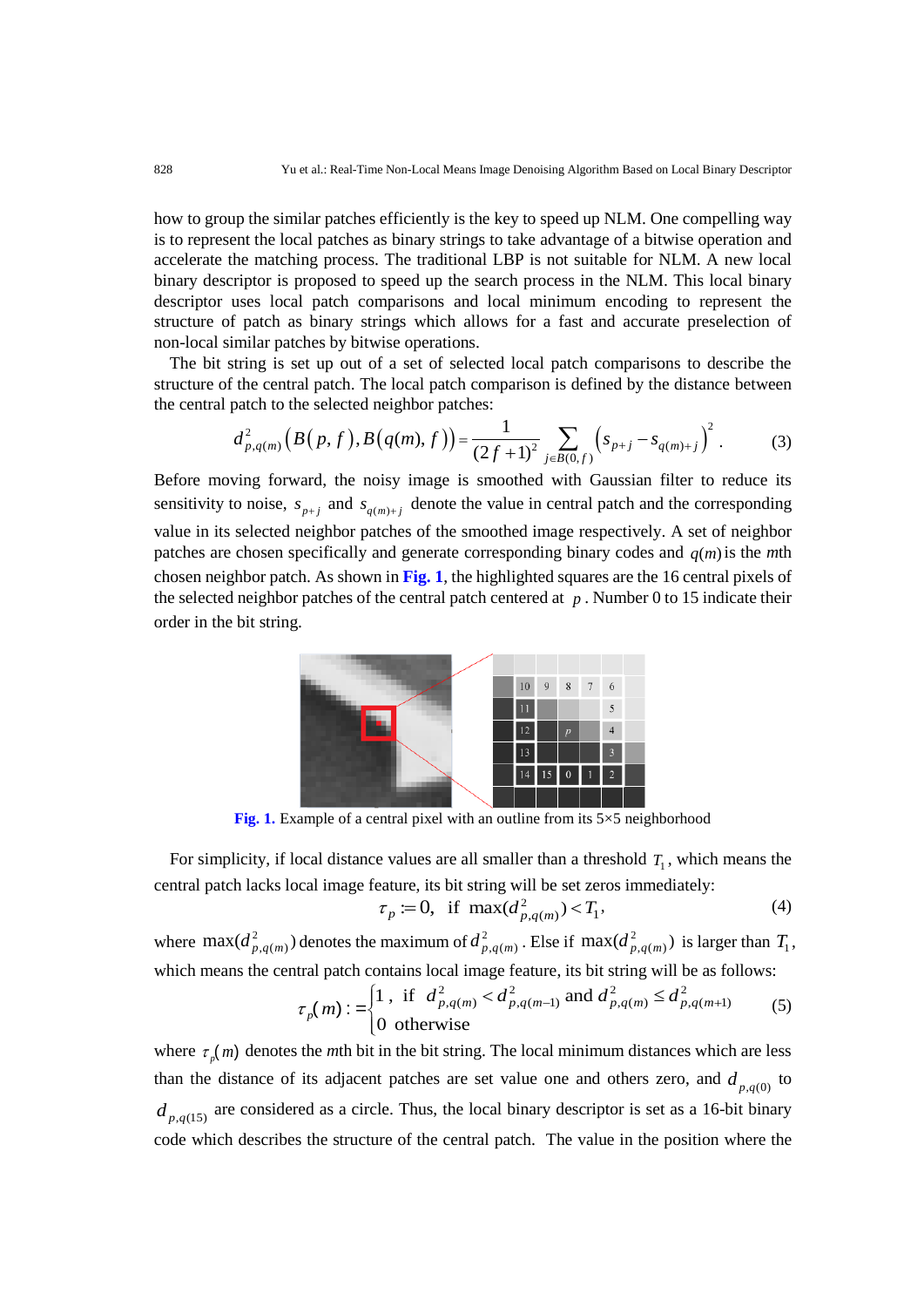how to group the similar patches efficiently is the key to speed up NLM. One compelling way is to represent the local patches as binary strings to take advantage of a bitwise operation and accelerate the matching process. The traditional LBP is not suitable for NLM. A new local binary descriptor is proposed to speed up the search process in the NLM. This local binary descriptor uses local patch comparisons and local minimum encoding to represent the structure of patch as binary strings which allows for a fast and accurate preselection of non-local similar patches by bitwise operations.

The bit string is set up out of a set of selected local patch comparisons to describe the structure of the central patch. The local patch comparison is defined by the distance between<br>the central patch to the selected neighbor patches:<br> $d_{p,q(m)}^2 (B(p, f), B(q(m), f)) = \frac{1}{(2f+1)^2} \sum_{i \in B(0, f)} (s_{p+j} - s_{q(m)+j})^2$ . (3) the central patch to the selected neighbor patches:

the central patch. The local patch comparison is defined by the distance between  
patch to the selected neighbor patches:  

$$
d_{p,q(m)}^2 (B(p,f), B(q(m),f)) = \frac{1}{(2f+1)^2} \sum_{j \in B(0,f)} (s_{p+j} - s_{q(m)+j})^2.
$$
 (3)

Before moving forward, the noisy image is smoothed with Gaussian filter to reduce its sensitivity to noise,  $s_{p+j}$  and  $s_{q(m)+j}$  denote the value in central patch and the corresponding value in its selected neighbor patches of the smoothed image respectively. A set of neighbor patches are chosen specifically and generate corresponding binary codes and  $q(m)$  is the *m*th chosen neighbor patch. As shown in **Fig. 1**, the highlighted squares are the 16 central pixels of the selected neighbor patches of the central patch centered at  $p$ . Number 0 to 15 indicate their order in the bit string.



**Fig. 1.** Example of a central pixel with an outline from its 5×5 neighborhood

For simplicity, if local distance values are all smaller than a threshold  $T_1$ , which means the

central patch lacks local image feature, its bit string will be set zeros immediately:  
\n
$$
\tau_p := 0, \text{ if } \max(d_{p,q(m)}^2) < T_1,\tag{4}
$$

where  $\max(d_{p,q(m)}^2)$  denotes the maximum of  $d_{p,q(m)}^2$ . Else if  $\max(d_{p,q(m)}^2)$  is larger than  $T_1$ ,<br>which means the central patch contains local image feature, its bit string will be as follows:<br> $\tau_n(m)$ :  $=\begin{cases} 1, & \text{if } d_{p$ 

which means the central patch contains local image feature, its bit string will be as follows:  
\n
$$
\tau_p(m) := \begin{cases} 1, & \text{if } d_{p,q(m)}^2 < d_{p,q(m-1)}^2 \text{ and } d_{p,q(m)}^2 \leq d_{p,q(m+1)}^2 \\ 0 & \text{otherwise} \end{cases}
$$
\n(5)

where  $\tau_p(m)$  denotes the *m*th bit in the bit string. The local minimum distances which are less than the distance of its adjacent patches are set value one and others zero, and  $d_{p,q(0)}$  to  $d_{p,q(15)}$  are considered as a circle. Thus, the local binary descriptor is set as a 16-bit binary code which describes the structure of the central patch. The value in the position where the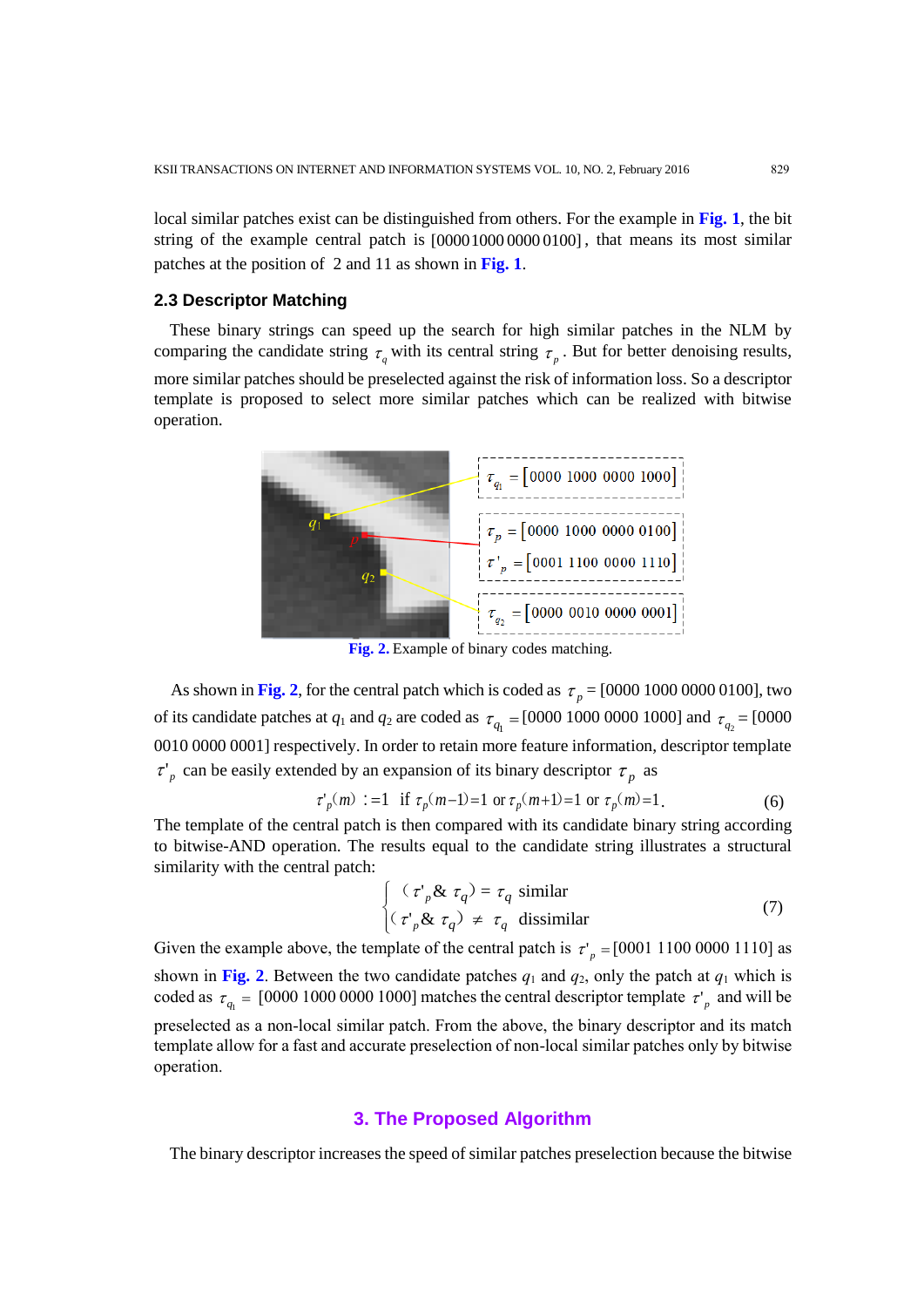local similar patches exist can be distinguished from others. For the example in **Fig. 1**, the bit string of the example central patch is  $[0000100000000100]$ , that means its most similar patches at the position of 2 and 11 as shown in **Fig. 1**.

## **2.3 Descriptor Matching**

These binary strings can speed up the search for high similar patches in the NLM by comparing the candidate string  $\tau_q$  with its central string  $\tau_p$ . But for better denoising results, more similar patches should be preselected against the risk of information loss. So a descriptor template is proposed to select more similar patches which can be realized with bitwise operation.



**Fig. 2.** Example of binary codes matching.

As shown in Fig. 2, for the central patch which is coded as  $\tau_p = [0000\ 1000\ 0000\ 0100]$ , two of its candidate patches at  $q_1$  and  $q_2$  are coded as  $\tau_{q_1} = [0000 \ 1000 \ 0000 \ 1000]$  and  $\tau_{q_2} = [0000 \ 0000 \ 0000 \ 0000]$ 0010 0000 0001] respectively. In order to retain more feature information, descriptor template  $\tau'_{p}$  can be easily extended by an expansion of its binary descriptor  $\tau_{p}$  as <sup>p</sup> can be easily extended by an expansion of its binary descriptor  $\tau_p$  as<br>  $\tau'_p(m) := 1$  if  $\tau_p(m-1)=1$  or  $\tau_p(m+1)=1$  or  $\tau_p(m)=1$ . (6)

$$
\tau'_p(m) := 1 \quad \text{if } \tau_p(m-1) = 1 \text{ or } \tau_p(m+1) = 1 \text{ or } \tau_p(m) = 1. \tag{6}
$$

The template of the central patch is then compared with its candidate binary string according to bitwise-AND operation. The results equal to the candidate string illustrates a structural similarity with the central patch:

$$
\begin{cases}\n(\tau_p \& \tau_q) = \tau_q \text{ similar} \\
(\tau_p \& \tau_q) \neq \tau_q \text{ dissimilar}\n\end{cases}
$$
\n(7)

Given the example above, the template of the central patch is  $\tau_p = [0001 \ 1100 \ 0000 \ 1110]$  as shown in Fig. 2. Between the two candidate patches  $q_1$  and  $q_2$ , only the patch at  $q_1$  which is coded as  $\tau_{q_1} = [0000 1000 0000 1000]$  matches the central descriptor template  $\tau'_{p}$  and will be preselected as a non-local similar patch. From the above, the binary descriptor and its match template allow for a fast and accurate preselection of non-local similar patches only by bitwise operation.

## **3. The Proposed Algorithm**

The binary descriptor increases the speed of similar patches preselection because the bitwise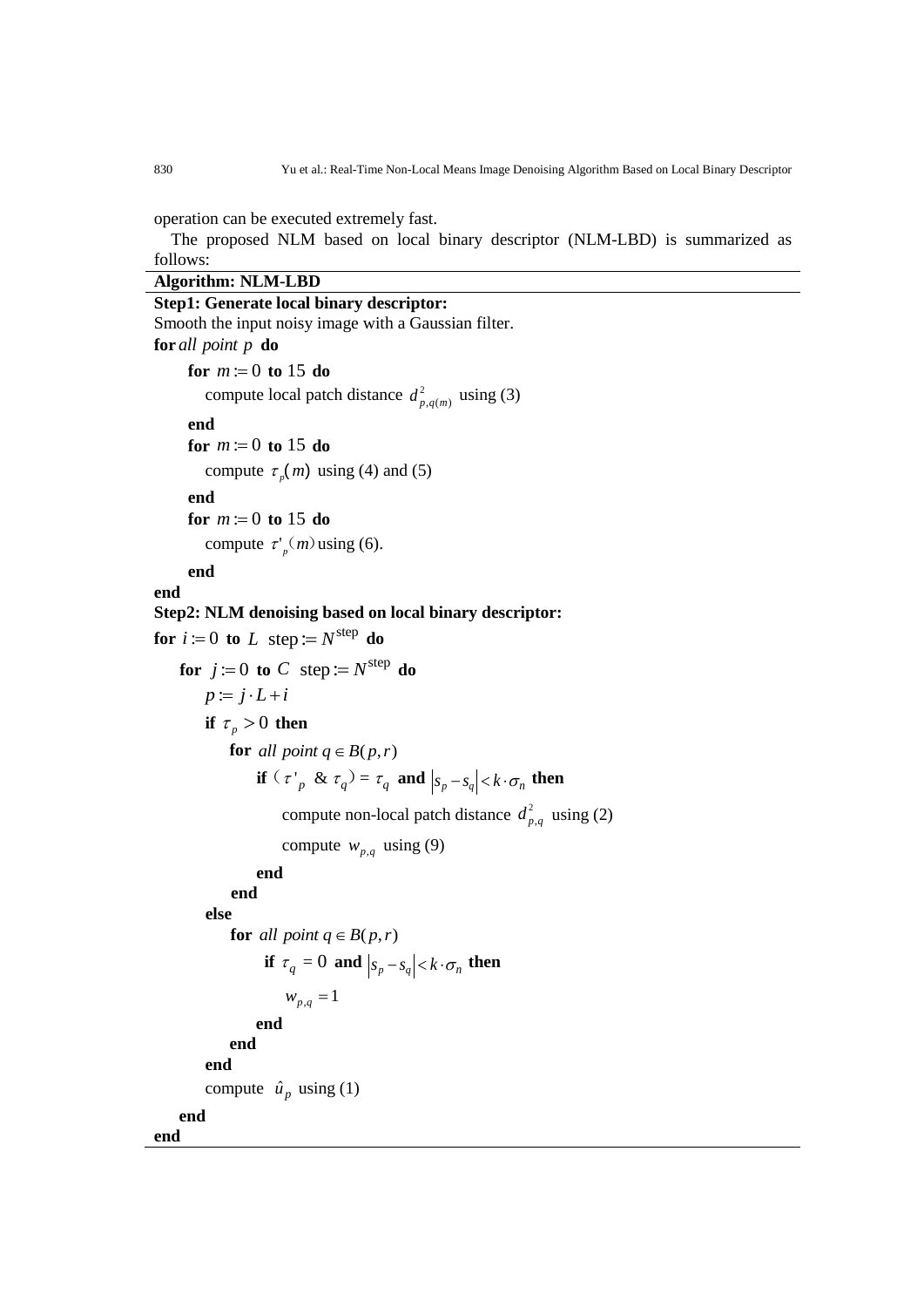operation can be executed extremely fast.

The proposed NLM based on local binary descriptor (NLM-LBD) is summarized as follows:

## **Algorithm: NLM-LBD**

```
Step1: Generate local binary descriptor: 
Smooth the input noisy image with a Gaussian filter.
for
all point p
do
      for m := 0 to 15 do
        compute local patch distance d_{p,q(m)}^2 using (3)
     end
      for m := 0 to 15 do
        compute \tau_p(m) using (4) and (5)
     end
      for m := 0 to 15 do
        compute \tau'_{p}(m) using (6).
     end
end
Step2: NLM denoising based on local binary descriptor:
for i := 0 to L step := N^{\text{step}} do
    for j := 0 to C step := N^{\text{step}} do
        p := j \cdot L + iif \tau_p > 0 then
            for all point q \in B(p,r) if (\tau_p \& \tau_q) = \tau_q and |s_p - s_q| < k \cdot \sigma_n then
                     compute non-local patch distance d<sub>n</sub><sup>2</sup>d_{p,q}^2 using (2)
                     compute w_{p,q} using (9)
                 end
            end
         else 
             for all point q \in B(p,r)if \tau_q = 0 and |s_p - s_q| < k \cdot \sigma_n then
                      w_{p,q} = 1end
            end
        end
        compute \hat{u}_p using (1)
    end
end
```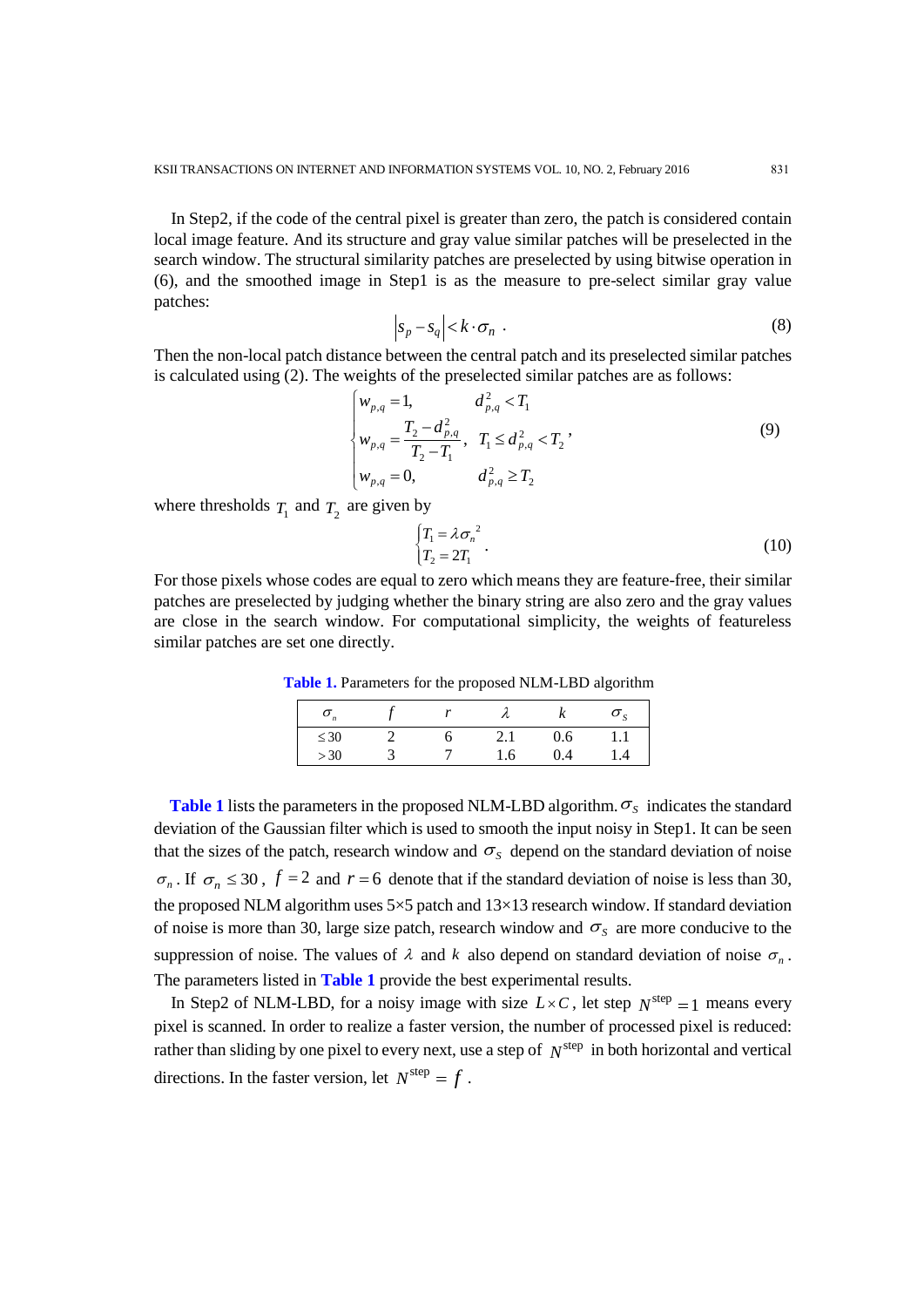In Step2, if the code of the central pixel is greater than zero, the patch is considered contain local image feature. And its structure and gray value similar patches will be preselected in the search window. The structural similarity patches are preselected by using bitwise operation in (6), and the smoothed image in Step1 is as the measure to pre-select similar gray value patches:

$$
\left| s_p - s_q \right| < k \cdot \sigma_n \tag{8}
$$

Then the non-local patch distance between the central patch and its preselected similar patches is calculated using (2). The weights of the preselected similar patches are as follows:<br> $\begin{cases} w_{p,q} = 1, & d_{p,q}^2 < T_1 \end{cases}$ 

$$
\begin{cases}\nw_{p,q} = 1, & d_{p,q}^2 < T_1 \\
w_{p,q} = \frac{T_2 - d_{p,q}^2}{T_2 - T_1}, & T_1 \le d_{p,q}^2 < T_2\n\end{cases}
$$
\n(9)  
\n
$$
w_{p,q} = 0, \qquad d_{p,q}^2 \ge T_2
$$

where thresholds  $T_1$  and  $T_2$  are given by

$$
\begin{cases} T_1 = \lambda \sigma_n^2 \\ T_2 = 2T_1 \end{cases} . \tag{10}
$$

For those pixels whose codes are equal to zero which means they are feature-free, their similar patches are preselected by judging whether the binary string are also zero and the gray values are close in the search window. For computational simplicity, the weights of featureless similar patches are set one directly.

**Table 1.** Parameters for the proposed NLM-LBD algorithm

| $\boldsymbol{\omega}_n$ |  |     |     |     |
|-------------------------|--|-----|-----|-----|
| $\leq 30$               |  | 2.1 | 0.6 | 1.1 |
| >30                     |  | .6  | 9.4 | .4  |

**Table 1** lists the parameters in the proposed NLM-LBD algorithm.  $\sigma_s$  indicates the standard deviation of the Gaussian filter which is used to smooth the input noisy in Step1. It can be seen that the sizes of the patch, research window and  $\sigma_s$  depend on the standard deviation of noise  $\sigma_n$ . If  $\sigma_n \leq 30$ ,  $f = 2$  and  $r = 6$  denote that if the standard deviation of noise is less than 30, the proposed NLM algorithm uses  $5\times 5$  patch and  $13\times 13$  research window. If standard deviation of noise is more than 30, large size patch, research window and  $\sigma_s$  are more conducive to the suppression of noise. The values of  $\lambda$  and  $k$  also depend on standard deviation of noise  $\sigma_n$ . The parameters listed in **Table 1** provide the best experimental results.

In Step2 of NLM-LBD, for a noisy image with size  $L \times C$ , let step  $N^{\text{step}} = 1$  means every pixel is scanned. In order to realize a faster version, the number of processed pixel is reduced: rather than sliding by one pixel to every next, use a step of  $N^{\text{step}}$  in both horizontal and vertical directions. In the faster version, let  $N^{\text{step}} = f$ .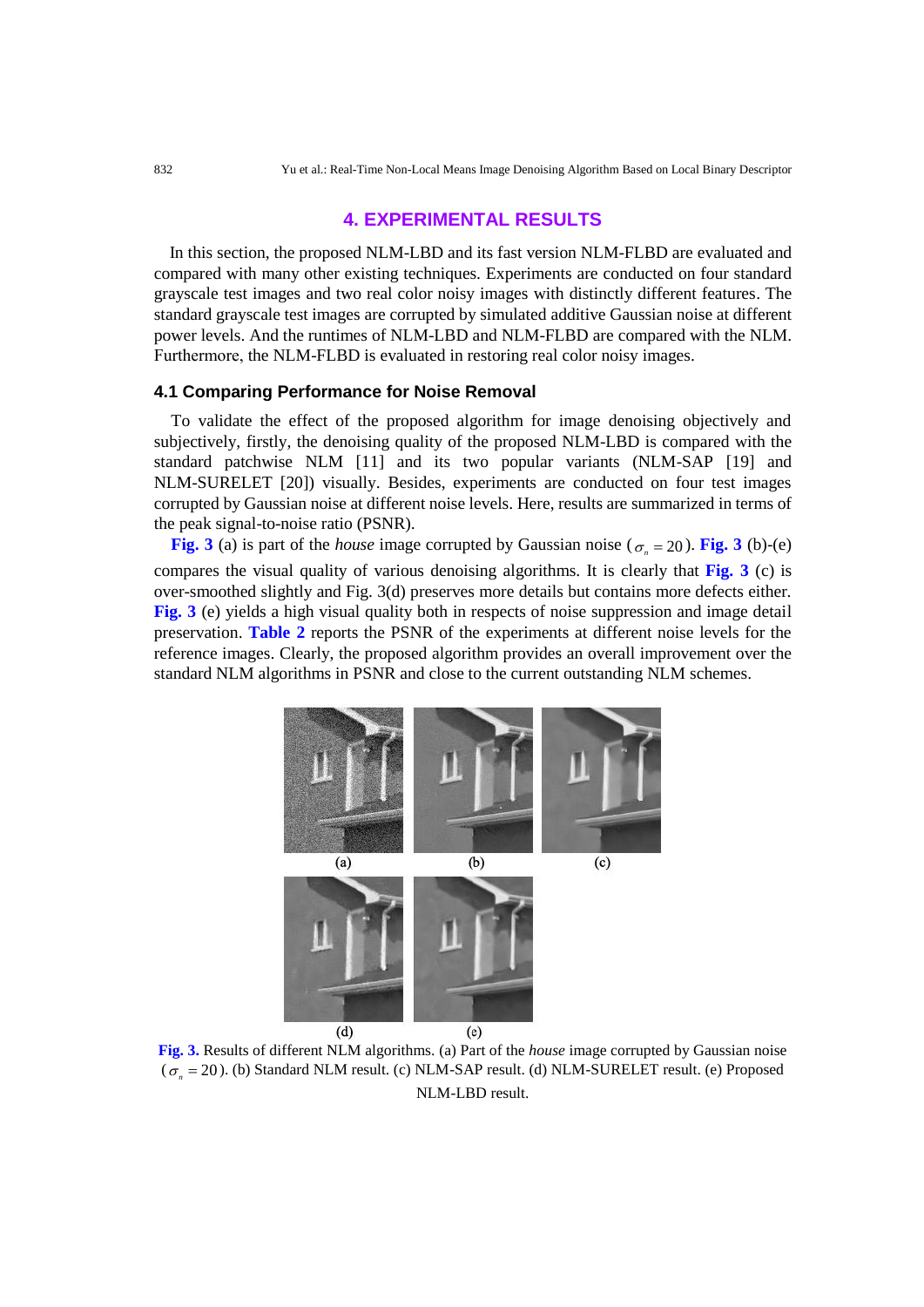## **4. EXPERIMENTAL RESULTS**

In this section, the proposed NLM-LBD and its fast version NLM-FLBD are evaluated and compared with many other existing techniques. Experiments are conducted on four standard grayscale test images and two real color noisy images with distinctly different features. The standard grayscale test images are corrupted by simulated additive Gaussian noise at different power levels. And the runtimes of NLM-LBD and NLM-FLBD are compared with the NLM. Furthermore, the NLM-FLBD is evaluated in restoring real color noisy images.

#### **4.1 Comparing Performance for Noise Removal**

To validate the effect of the proposed algorithm for image denoising objectively and subjectively, firstly, the denoising quality of the proposed NLM-LBD is compared with the standard patchwise NLM [11] and its two popular variants (NLM-SAP [19] and NLM-SURELET [20]) visually. Besides, experiments are conducted on four test images corrupted by Gaussian noise at different noise levels. Here, results are summarized in terms of the peak signal-to-noise ratio (PSNR).

**Fig. 3** (a) is part of the *house* image corrupted by Gaussian noise ( $\sigma_n = 20$ ). **Fig. 3** (b)-(e) compares the visual quality of various denoising algorithms. It is clearly that **Fig. 3** (c) is over-smoothed slightly and Fig. 3(d) preserves more details but contains more defects either. **Fig. 3** (e) yields a high visual quality both in respects of noise suppression and image detail preservation. **Table 2** reports the PSNR of the experiments at different noise levels for the reference images. Clearly, the proposed algorithm provides an overall improvement over the standard NLM algorithms in PSNR and close to the current outstanding NLM schemes.



**Fig. 3.** Results of different NLM algorithms. (a) Part of the *house* image corrupted by Gaussian noise  $(\sigma_n = 20)$ . (b) Standard NLM result. (c) NLM-SAP result. (d) NLM-SURELET result. (e) Proposed NLM-LBD result.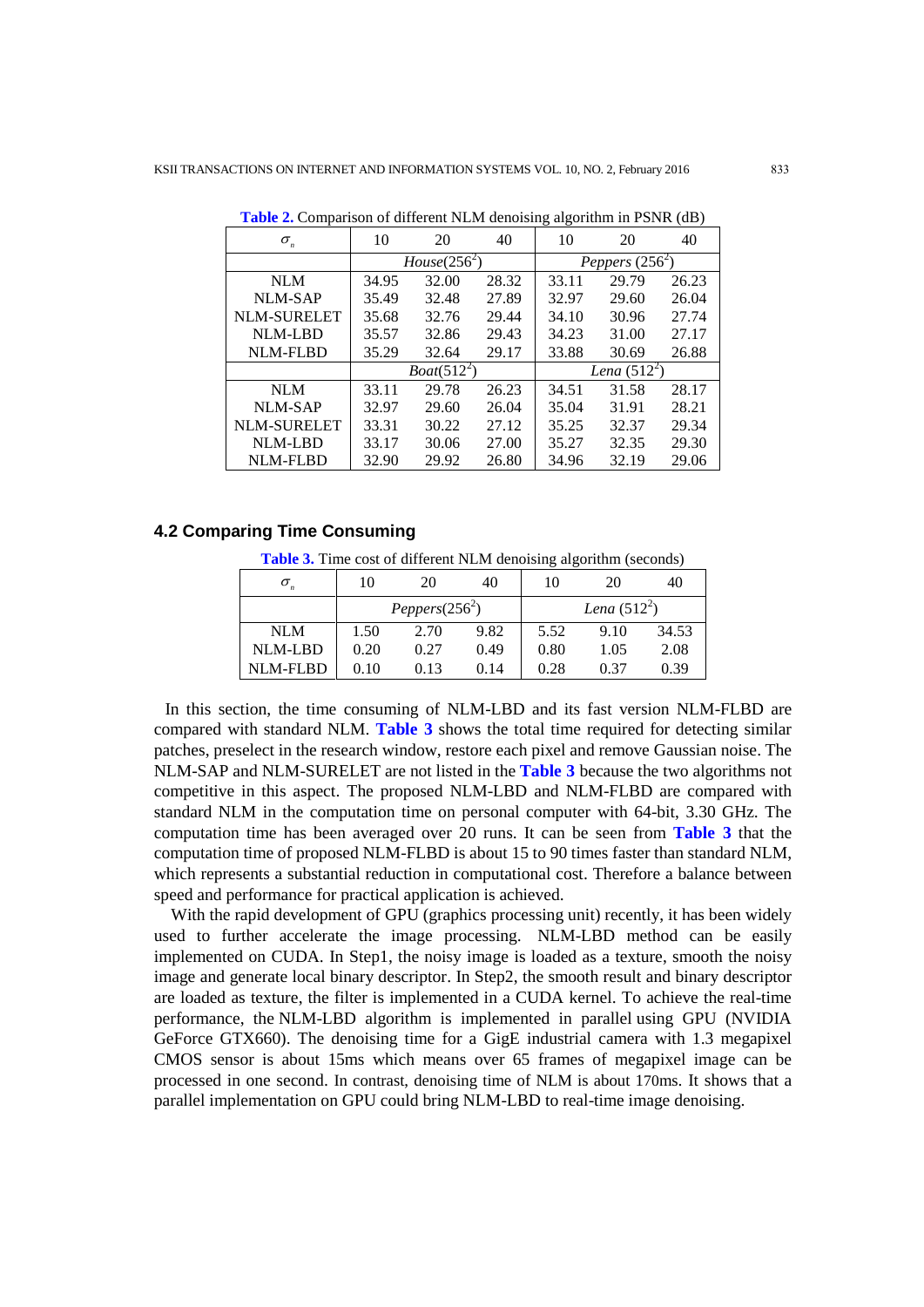| $\sigma_{\scriptscriptstyle n}$ | 10             | 20    | 40    | 10                | 20    | 40    |
|---------------------------------|----------------|-------|-------|-------------------|-------|-------|
|                                 | $House(256^2)$ |       |       | Peppers $(256^2)$ |       |       |
| <b>NLM</b>                      | 34.95          | 32.00 | 28.32 | 33.11             | 29.79 | 26.23 |
| <b>NLM-SAP</b>                  | 35.49          | 32.48 | 27.89 | 32.97             | 29.60 | 26.04 |
| <b>NLM-SURELET</b>              | 35.68          | 32.76 | 29.44 | 34.10             | 30.96 | 27.74 |
| <b>NLM-LBD</b>                  | 35.57          | 32.86 | 29.43 | 34.23             | 31.00 | 27.17 |
| <b>NLM-FLBD</b>                 | 35.29          | 32.64 | 29.17 | 33.88             | 30.69 | 26.88 |
|                                 | $Boat(512^2)$  |       |       | Lena $(512^2)$    |       |       |
| <b>NLM</b>                      | 33.11          | 29.78 | 26.23 | 34.51             | 31.58 | 28.17 |
| NLM-SAP                         | 32.97          | 29.60 | 26.04 | 35.04             | 31.91 | 28.21 |
| <b>NLM-SURELET</b>              | 33.31          | 30.22 | 27.12 | 35.25             | 32.37 | 29.34 |
| <b>NLM-LBD</b>                  | 33.17          | 30.06 | 27.00 | 35.27             | 32.35 | 29.30 |
| <b>NLM-FLBD</b>                 | 32.90          | 29.92 | 26.80 | 34.96             | 32.19 | 29.06 |

**Table 2.** Comparison of different NLM denoising algorithm in PSNR (dB)

#### **4.2 Comparing Time Consuming**

Table 3. Time cost of different NLM denoising algorithm (seconds)

|                | 10                | 20   | 40   | 10             | 20   | 40    |
|----------------|-------------------|------|------|----------------|------|-------|
|                | Peppers $(256^2)$ |      |      | Lena $(512^2)$ |      |       |
| <b>NLM</b>     | 1.50              | 2.70 | 9.82 | 5.52           | 9.10 | 34.53 |
| <b>NLM-LBD</b> | 0.20              | 0.27 | 0.49 | 0.80           | 1.05 | 2.08  |
| NLM-FLBD       | 0.10              | 0.13 | 0.14 | 0.28           | 0.37 | 0.39  |

In this section, the time consuming of NLM-LBD and its fast version NLM-FLBD are compared with standard NLM. **Table 3** shows the total time required for detecting similar patches, preselect in the research window, restore each pixel and remove Gaussian noise. The NLM-SAP and NLM-SURELET are not listed in the **Table 3** because the two algorithms not competitive in this aspect. The proposed NLM-LBD and NLM-FLBD are compared with standard NLM in the computation time on personal computer with 64-bit, 3.30 GHz. The computation time has been averaged over 20 runs. It can be seen from **Table 3** that the computation time of proposed NLM-FLBD is about 15 to 90 times faster than standard NLM, which represents a substantial reduction in computational cost. Therefore a balance between speed and performance for practical application is achieved.

With the rapid development of GPU (graphics processing unit) recently, it has been widely used to further accelerate the image processing. NLM-LBD method can be easily implemented on CUDA. In Step1, the noisy image is loaded as a texture, smooth the noisy image and generate local binary descriptor. In Step2, the smooth result and binary descriptor are loaded as texture, the filter is implemented in a CUDA kernel. To achieve the real-time performance, the NLM-LBD algorithm is implemented in parallel using GPU (NVIDIA GeForce GTX660). The denoising time for a GigE industrial camera with 1.3 megapixel CMOS sensor is about 15ms which means over 65 frames of megapixel image can be processed in one second. In contrast, denoising time of NLM is about 170ms. It shows that a parallel implementation on GPU could bring NLM-LBD to real-time image denoising.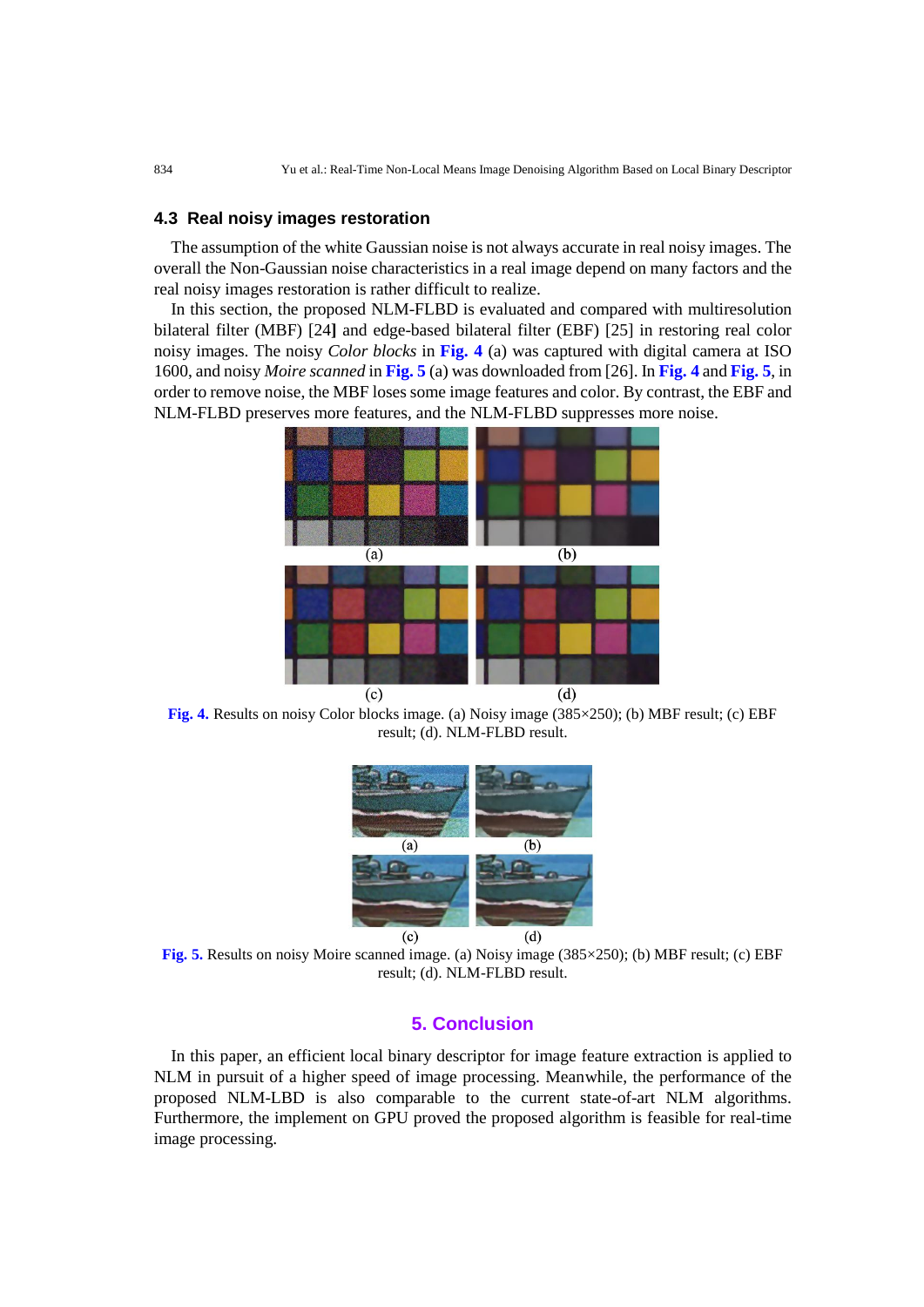#### **4.3 Real noisy images restoration**

The assumption of the white Gaussian noise is not always accurate in real noisy images. The overall the Non-Gaussian noise characteristics in a real image depend on many factors and the real noisy images restoration is rather difficult to realize.

In this section, the proposed NLM-FLBD is evaluated and compared with multiresolution bilateral filter (MBF) [24**]** and edge-based bilateral filter (EBF) [25] in restoring real color noisy images. The noisy *Color blocks* in **Fig. 4** (a) was captured with digital camera at ISO 1600, and noisy *Moire scanned* in **Fig. 5** (a) was downloaded from [26]. In **Fig. 4** and **Fig. 5**, in order to remove noise, the MBF loses some image features and color. By contrast, the EBF and NLM-FLBD preserves more features, and the NLM-FLBD suppresses more noise.



**Fig. 4.** Results on noisy Color blocks image. (a) Noisy image (385×250); (b) MBF result; (c) EBF result; (d). NLM-FLBD result.



**Fig. 5.** Results on noisy Moire scanned image. (a) Noisy image (385×250); (b) MBF result; (c) EBF result; (d). NLM-FLBD result.

## **5. Conclusion**

In this paper, an efficient local binary descriptor for image feature extraction is applied to NLM in pursuit of a higher speed of image processing. Meanwhile, the performance of the proposed NLM-LBD is also comparable to the current state-of-art NLM algorithms. Furthermore, the implement on GPU proved the proposed algorithm is feasible for real-time image processing.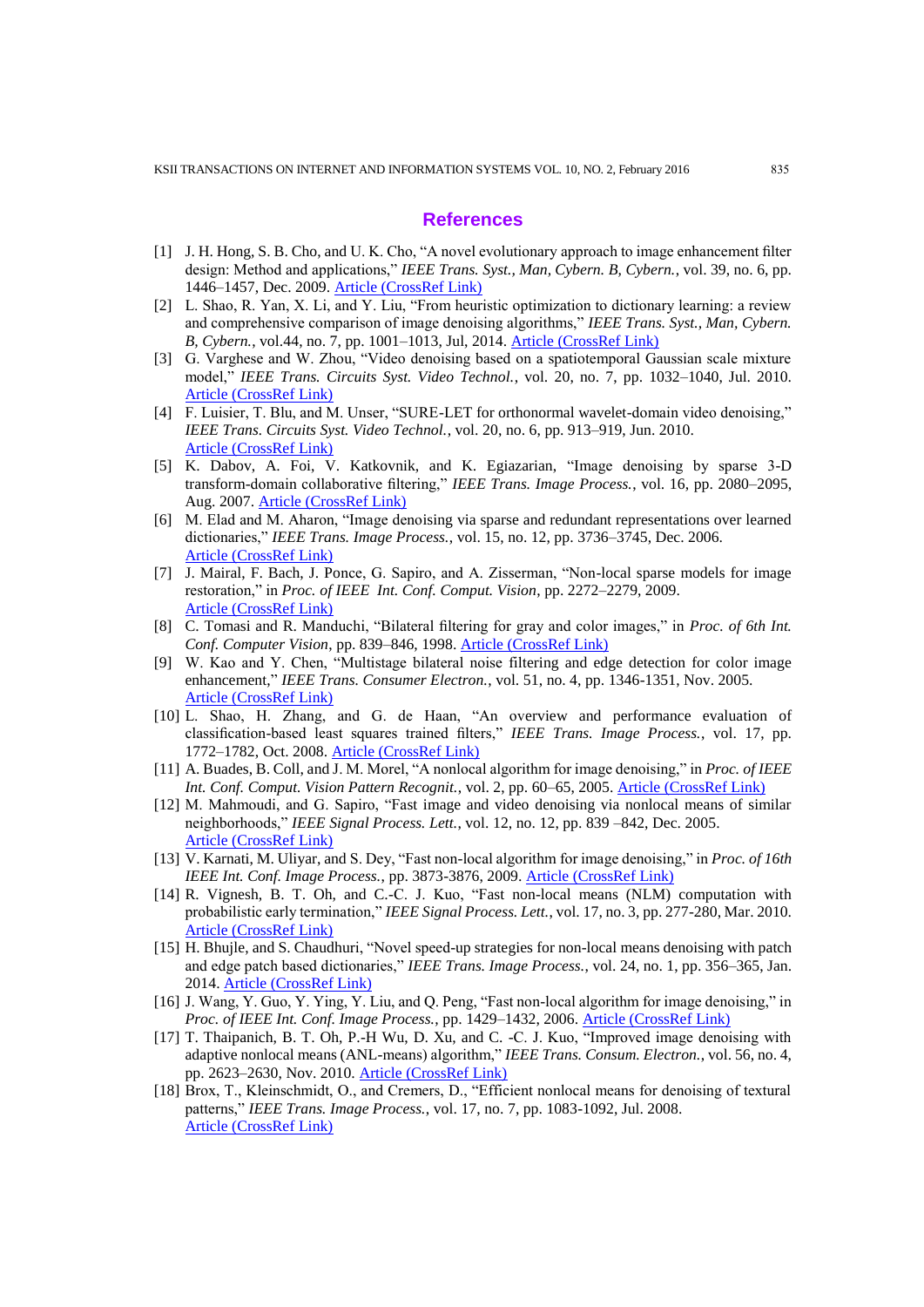#### **References**

- [1] J. H. Hong, S. B. Cho, and U. K. Cho, "A novel evolutionary approach to image enhancement filter design: Method and applications," *IEEE Trans. Syst., Man, Cybern. B, Cybern.*, vol. 39, no. 6, pp. 1446–1457, Dec. 2009. [Article \(CrossRef Link\)](http://dx.doi.org/doi:10.1109/TSMCB.2009.2018292)
- [2] L. Shao, R. Yan, X. Li, and Y. Liu, "From heuristic optimization to dictionary learning: a review and comprehensive comparison of image denoising algorithms," *IEEE Trans. Syst., Man, Cybern. B, Cybern.*, vol.44, no. 7, pp. 1001–1013, Jul, 2014. [Article \(CrossRef Link\)](http://dx.doi.org/doi:10.1109/TCYB.2013.2278548)
- [3] G. Varghese and W. Zhou, "Video denoising based on a spatiotemporal Gaussian scale mixture model," *IEEE Trans. Circuits Syst. Video Technol.*, vol. 20, no. 7, pp. 1032–1040, Jul. 2010. [Article \(CrossRef Link\)](http://dx.doi.org/doi:10.1109/TCSVT.2010.2051366)
- [4] F. Luisier, T. Blu, and M. Unser, "SURE-LET for orthonormal wavelet-domain video denoising," *IEEE Trans. Circuits Syst. Video Technol.*, vol. 20, no. 6, pp. 913–919, Jun. 2010. [Article \(CrossRef Link\)](http://dx.doi.org/doi:10.1109/TCSVT.2010.2045819)
- [5] K. Dabov, A. Foi, V. Katkovnik, and K. Egiazarian, "Image denoising by sparse 3-D transform-domain collaborative filtering," *IEEE Trans. Image Process.*, vol. 16, pp. 2080–2095, Aug. 2007. [Article \(CrossRef Link\)](http://dx.doi.org/doi:10.1109/TIP.2007.901238)
- [6] M. Elad and M. Aharon, "Image denoising via sparse and redundant representations over learned dictionaries," *IEEE Trans. Image Process.*, vol. 15, no. 12, pp. 3736–3745, Dec. 2006. [Article \(CrossRef Link\)](http://dx.doi.org/doi:10.1109/TIP.2006.881969)
- [7] J. Mairal, F. Bach, J. Ponce, G. Sapiro, and A. Zisserman, "Non-local sparse models for image restoration," in *Proc. of IEEE Int. Conf. Comput. Vision*, pp. 2272–2279, 2009. [Article \(CrossRef Link\)](http://dx.doi.org/doi:10.1109/ICCV.2009.5459452)
- [8] C. Tomasi and R. Manduchi, "Bilateral filtering for gray and color images," in *Proc. of 6th Int. Conf. Computer Vision*, pp. 839–846, 1998. [Article \(CrossRef Link\)](http://dx.doi.org/doi:10.1109/ICCV.1998.710815)
- [9] W. Kao and Y. Chen, "Multistage bilateral noise filtering and edge detection for color image enhancement," *IEEE Trans. Consumer Electron.*, vol. 51, no. 4, pp. 1346-1351, Nov. 2005. [Article \(CrossRef Link\)](http://dx.doi.org/doi:10.1109/TCE.2005.1561866)
- [10] L. Shao, H. Zhang, and G. de Haan, "An overview and performance evaluation of classification-based least squares trained filters," *IEEE Trans. Image Process.*, vol. 17, pp. 1772–1782, Oct. 2008. [Article \(CrossRef Link\)](http://dx.doi.org/doi:10.1109/TIP.2008.2002162)
- [11] A. Buades, B. Coll, and J. M. Morel, "A nonlocal algorithm for image denoising," in *Proc. of IEEE Int. Conf. Comput. Vision Pattern Recognit.*, vol. 2, pp. 60–65, 2005. [Article \(CrossRef Link\)](http://dx.doi.org/doi:10.1109/CVPR.2005.38)
- [12] M. Mahmoudi, and G. Sapiro, "Fast image and video denoising via nonlocal means of similar neighborhoods," *IEEE Signal Process. Lett.*, vol. 12, no. 12, pp. 839 –842, Dec. 2005. [Article \(CrossRef Link\)](http://dx.doi.org/doi:10.1109/LSP.2005.859509)
- [13] V. Karnati, M. Uliyar, and S. Dey, "Fast non-local algorithm for image denoising," in *Proc. of 16th IEEE Int. Conf. Image Process.*, pp. 3873-3876, 2009. [Article \(CrossRef Link\)](http://dx.doi.org/doi:10.1109/ICIP.2009.5414044)
- [14] R. Vignesh, B. T. Oh, and C.-C. J. Kuo, "Fast non-local means (NLM) computation with probabilistic early termination," *IEEE Signal Process. Lett.*, vol. 17, no. 3, pp. 277-280, Mar. 2010. [Article \(CrossRef Link\)](http://dx.doi.org/doi:10.1109/LSP.2009.2038956)
- [15] H. Bhujle, and S. Chaudhuri, "Novel speed-up strategies for non-local means denoising with patch and edge patch based dictionaries," *IEEE Trans. Image Process.*, vol. 24, no. 1, pp. 356–365, Jan. 2014. [Article \(CrossRef Link\)](http://dx.doi.org/doi:10.1109/TIP.2013.2290871)
- [16] J. Wang, Y. Guo, Y. Ying, Y. Liu, and Q. Peng, "Fast non-local algorithm for image denoising," in *Proc. of IEEE Int. Conf. Image Process.*, pp. 1429–1432, 2006. [Article \(CrossRef Link\)](http://dx.doi.org/doi:10.1109/ICIP.2006.312698)
- [17] T. Thaipanich, B. T. Oh, P.-H Wu, D. Xu, and C. -C. J. Kuo, "Improved image denoising with adaptive nonlocal means (ANL-means) algorithm," *IEEE Trans. Consum. Electron.*, vol. 56, no. 4, pp. 2623–2630, Nov. 2010. [Article \(CrossRef Link\)](http://dx.doi.org/doi:10.1109/TCE.2010.5681149)
- [18] Brox, T., Kleinschmidt, O., and Cremers, D., "Efficient nonlocal means for denoising of textural patterns," *IEEE Trans. Image Process.*, vol. 17, no. 7, pp. 1083-1092, Jul. 2008. [Article \(CrossRef Link\)](http://dx.doi.org/doi:10.1109/TIP.2008.924281)